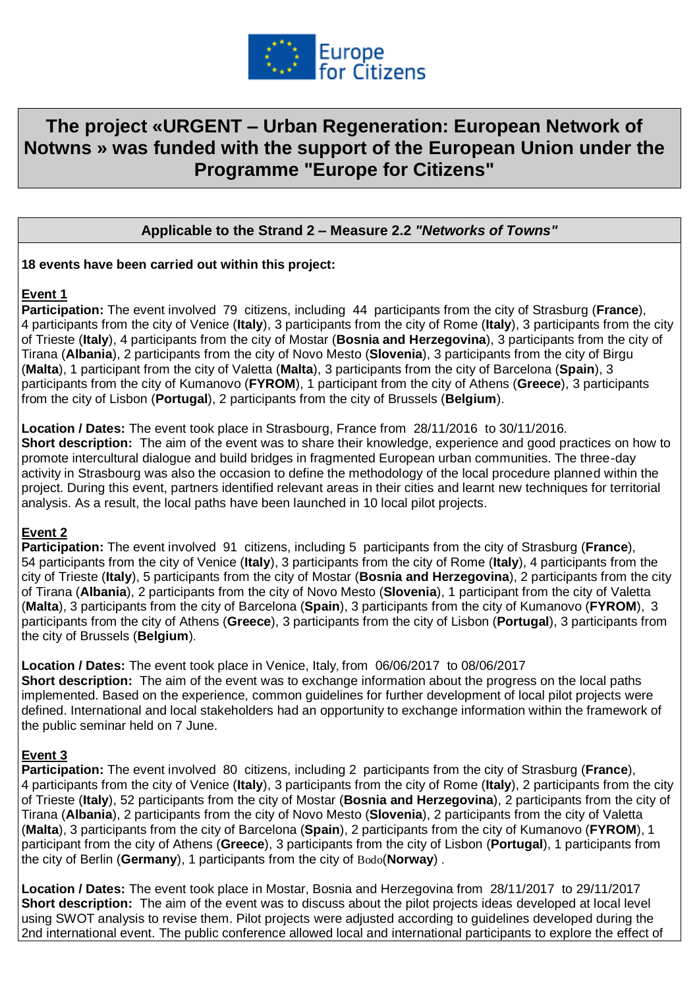

# **The project «URGENT – Urban Regeneration: European Network of Notwns » was funded with the support of the European Union under the Programme "Europe for Citizens"**

# **Applicable to the Strand 2 – Measure 2.2** *"Networks of Towns"*

#### **18 events have been carried out within this project:**

# **Event 1**

**Participation:** The event involved 79 citizens, including 44 participants from the city of Strasburg (**France**), 4 participants from the city of Venice (**Italy**), 3 participants from the city of Rome (**Italy**), 3 participants from the city of Trieste (**Italy**), 4 participants from the city of Mostar (**Bosnia and Herzegovina**), 3 participants from the city of Tirana (**Albania**), 2 participants from the city of Novo Mesto (**Slovenia**), 3 participants from the city of Birgu (**Malta**), 1 participant from the city of Valetta (**Malta**), 3 participants from the city of Barcelona (**Spain**), 3 participants from the city of Kumanovo (**FYROM**), 1 participant from the city of Athens (**Greece**), 3 participants from the city of Lisbon (**Portugal**), 2 participants from the city of Brussels (**Belgium**).

**Location / Dates:** The event took place in Strasbourg, France from 28/11/2016 to 30/11/2016. **Short description:** The aim of the event was to share their knowledge, experience and good practices on how to promote intercultural dialogue and build bridges in fragmented European urban communities. The three-day activity in Strasbourg was also the occasion to define the methodology of the local procedure planned within the project. During this event, partners identified relevant areas in their cities and learnt new techniques for territorial analysis. As a result, the local paths have been launched in 10 local pilot projects.

# **Event 2**

**Participation:** The event involved 91 citizens, including 5 participants from the city of Strasburg (**France**), 54 participants from the city of Venice (**Italy**), 3 participants from the city of Rome (**Italy**), 4 participants from the city of Trieste (**Italy**), 5 participants from the city of Mostar (**Bosnia and Herzegovina**), 2 participants from the city of Tirana (**Albania**), 2 participants from the city of Novo Mesto (**Slovenia**), 1 participant from the city of Valetta (**Malta**), 3 participants from the city of Barcelona (**Spain**), 3 participants from the city of Kumanovo (**FYROM**), 3 participants from the city of Athens (**Greece**), 3 participants from the city of Lisbon (**Portugal**), 3 participants from the city of Brussels (**Belgium**).

**Location / Dates:** The event took place in Venice, Italy, from 06/06/2017 to 08/06/2017 **Short description:** The aim of the event was to exchange information about the progress on the local paths implemented. Based on the experience, common guidelines for further development of local pilot projects were defined. International and local stakeholders had an opportunity to exchange information within the framework of the public seminar held on 7 June.

# **Event 3**

**Participation:** The event involved 80 citizens, including 2 participants from the city of Strasburg (**France**), 4 participants from the city of Venice (**Italy**), 3 participants from the city of Rome (**Italy**), 2 participants from the city of Trieste (**Italy**), 52 participants from the city of Mostar (**Bosnia and Herzegovina**), 2 participants from the city of Tirana (**Albania**), 2 participants from the city of Novo Mesto (**Slovenia**), 2 participants from the city of Valetta (**Malta**), 3 participants from the city of Barcelona (**Spain**), 2 participants from the city of Kumanovo (**FYROM**), 1 participant from the city of Athens (**Greece**), 3 participants from the city of Lisbon (**Portugal**), 1 participants from the city of Berlin (**Germany**), 1 participants from the city of Bodo(**Norway**) .

**Location / Dates:** The event took place in Mostar, Bosnia and Herzegovina from 28/11/2017 to 29/11/2017 **Short description:** The aim of the event was to discuss about the pilot projects ideas developed at local level using SWOT analysis to revise them. Pilot projects were adjusted according to guidelines developed during the 2nd international event. The public conference allowed local and international participants to explore the effect of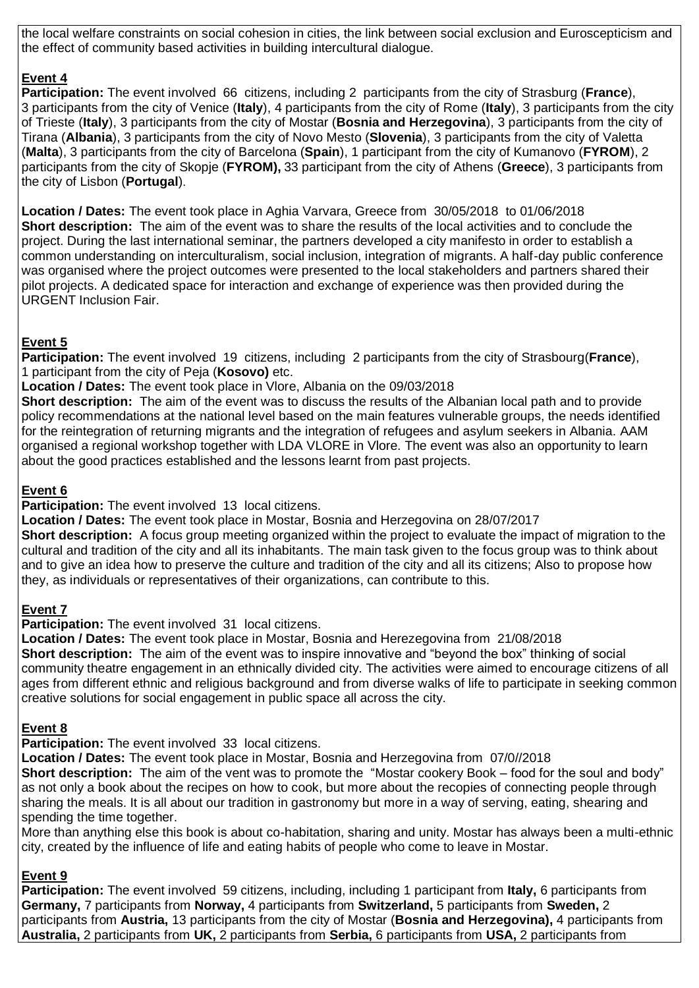the local welfare constraints on social cohesion in cities, the link between social exclusion and Euroscepticism and the effect of community based activities in building intercultural dialogue.

# **Event 4**

**Participation:** The event involved 66 citizens, including 2 participants from the city of Strasburg (**France**), 3 participants from the city of Venice (**Italy**), 4 participants from the city of Rome (**Italy**), 3 participants from the city of Trieste (**Italy**), 3 participants from the city of Mostar (**Bosnia and Herzegovina**), 3 participants from the city of Tirana (**Albania**), 3 participants from the city of Novo Mesto (**Slovenia**), 3 participants from the city of Valetta (**Malta**), 3 participants from the city of Barcelona (**Spain**), 1 participant from the city of Kumanovo (**FYROM**), 2 participants from the city of Skopje (**FYROM),** 33 participant from the city of Athens (**Greece**), 3 participants from the city of Lisbon (**Portugal**).

**Location / Dates:** The event took place in Aghia Varvara, Greece from 30/05/2018 to 01/06/2018 **Short description:** The aim of the event was to share the results of the local activities and to conclude the project. During the last international seminar, the partners developed a city manifesto in order to establish a common understanding on interculturalism, social inclusion, integration of migrants. A half-day public conference was organised where the project outcomes were presented to the local stakeholders and partners shared their pilot projects. A dedicated space for interaction and exchange of experience was then provided during the URGENT Inclusion Fair.

# **Event 5**

**Participation:** The event involved 19 citizens, including 2 participants from the city of Strasbourg(**France**), 1 participant from the city of Peja (**Kosovo)** etc.

**Location / Dates:** The event took place in Vlore, Albania on the 09/03/2018

**Short description:** The aim of the event was to discuss the results of the Albanian local path and to provide policy recommendations at the national level based on the main features vulnerable groups, the needs identified for the reintegration of returning migrants and the integration of refugees and asylum seekers in Albania. AAM organised a regional workshop together with LDA VLORE in Vlore. The event was also an opportunity to learn about the good practices established and the lessons learnt from past projects.

# **Event 6**

**Participation:** The event involved 13 local citizens.

**Location / Dates:** The event took place in Mostar, Bosnia and Herzegovina on 28/07/2017 **Short description:** A focus group meeting organized within the project to evaluate the impact of migration to the cultural and tradition of the city and all its inhabitants. The main task given to the focus group was to think about and to give an idea how to preserve the culture and tradition of the city and all its citizens; Also to propose how they, as individuals or representatives of their organizations, can contribute to this.

# **Event 7**

**Participation:** The event involved 31 local citizens.

**Location / Dates:** The event took place in Mostar, Bosnia and Herezegovina from 21/08/2018 **Short description:** The aim of the event was to inspire innovative and "bevond the box" thinking of social community theatre engagement in an ethnically divided city. The activities were aimed to encourage citizens of all ages from different ethnic and religious background and from diverse walks of life to participate in seeking common creative solutions for social engagement in public space all across the city.

# **Event 8**

**Participation:** The event involved 33 local citizens.

**Location / Dates:** The event took place in Mostar, Bosnia and Herzegovina from 07/0//2018 **Short description:** The aim of the vent was to promote the "Mostar cookery Book – food for the soul and body" as not only a book about the recipes on how to cook, but more about the recopies of connecting people through sharing the meals. It is all about our tradition in gastronomy but more in a way of serving, eating, shearing and spending the time together.

More than anything else this book is about co-habitation, sharing and unity. Mostar has always been a multi-ethnic city, created by the influence of life and eating habits of people who come to leave in Mostar.

# **Event 9**

**Participation:** The event involved 59 citizens, including, including 1 participant from **Italy,** 6 participants from **Germany,** 7 participants from **Norway,** 4 participants from **Switzerland,** 5 participants from **Sweden,** 2 participants from **Austria,** 13 participants from the city of Mostar (**Bosnia and Herzegovina),** 4 participants from **Australia,** 2 participants from **UK,** 2 participants from **Serbia,** 6 participants from **USA,** 2 participants from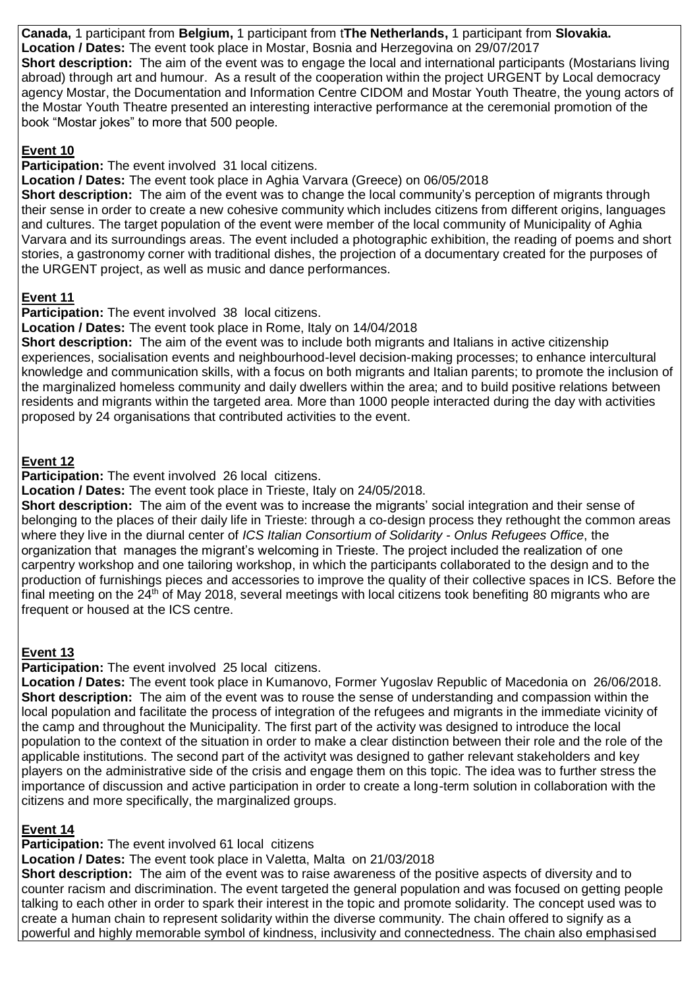**Canada,** 1 participant from **Belgium,** 1 participant from t**The Netherlands,** 1 participant from **Slovakia. Location / Dates:** The event took place in Mostar, Bosnia and Herzegovina on 29/07/2017 **Short description:** The aim of the event was to engage the local and international participants (Mostarians living abroad) through art and humour. As a result of the cooperation within the project URGENT by Local democracy agency Mostar, the Documentation and Information Centre CIDOM and Mostar Youth Theatre, the young actors of the Mostar Youth Theatre presented an interesting interactive performance at the ceremonial promotion of the book "Mostar jokes" to more that 500 people.

#### **Event 10**

#### **Participation:** The event involved 31 local citizens.

**Location / Dates:** The event took place in Aghia Varvara (Greece) on 06/05/2018

**Short description:** The aim of the event was to change the local community's perception of migrants through their sense in order to create a new cohesive community which includes citizens from different origins, languages and cultures. The target population of the event were member of the local community of Municipality of Aghia Varvara and its surroundings areas. The event included a photographic exhibition, the reading of poems and short stories, a gastronomy corner with traditional dishes, the projection of a documentary created for the purposes of the URGENT project, as well as music and dance performances.

# **Event 11**

**Participation:** The event involved 38 local citizens.

**Location / Dates:** The event took place in Rome, Italy on 14/04/2018

**Short description:** The aim of the event was to include both migrants and Italians in active citizenship experiences, socialisation events and neighbourhood-level decision-making processes; to enhance intercultural knowledge and communication skills, with a focus on both migrants and Italian parents; to promote the inclusion of the marginalized homeless community and daily dwellers within the area; and to build positive relations between residents and migrants within the targeted area. More than 1000 people interacted during the day with activities proposed by 24 organisations that contributed activities to the event.

# **Event 12**

**Participation:** The event involved 26 local citizens.

**Location / Dates:** The event took place in Trieste, Italy on 24/05/2018.

**Short description:** The aim of the event was to increase the migrants' social integration and their sense of belonging to the places of their daily life in Trieste: through a co-design process they rethought the common areas where they live in the diurnal center of *ICS Italian Consortium of Solidarity - Onlus Refugees Office*, the organization that manages the migrant's welcoming in Trieste. The project included the realization of one carpentry workshop and one tailoring workshop, in which the participants collaborated to the design and to the production of furnishings pieces and accessories to improve the quality of their collective spaces in ICS. Before the final meeting on the 24<sup>th</sup> of May 2018, several meetings with local citizens took benefiting 80 migrants who are frequent or housed at the ICS centre.

# **Event 13**

**Participation:** The event involved 25 local citizens.

**Location / Dates:** The event took place in Kumanovo, Former Yugoslav Republic of Macedonia on 26/06/2018. **Short description:** The aim of the event was to rouse the sense of understanding and compassion within the local population and facilitate the process of integration of the refugees and migrants in the immediate vicinity of the camp and throughout the Municipality. The first part of the activity was designed to introduce the local population to the context of the situation in order to make a clear distinction between their role and the role of the applicable institutions. The second part of the activityt was designed to gather relevant stakeholders and key players on the administrative side of the crisis and engage them on this topic. The idea was to further stress the importance of discussion and active participation in order to create a long-term solution in collaboration with the citizens and more specifically, the marginalized groups.

# **Event 14**

**Participation:** The event involved 61 local citizens

**Location / Dates:** The event took place in Valetta, Malta on 21/03/2018

**Short description:** The aim of the event was to raise awareness of the positive aspects of diversity and to counter racism and discrimination. The event targeted the general population and was focused on getting people talking to each other in order to spark their interest in the topic and promote solidarity. The concept used was to create a human chain to represent solidarity within the diverse community. The chain offered to signify as a powerful and highly memorable symbol of kindness, inclusivity and connectedness. The chain also emphasised